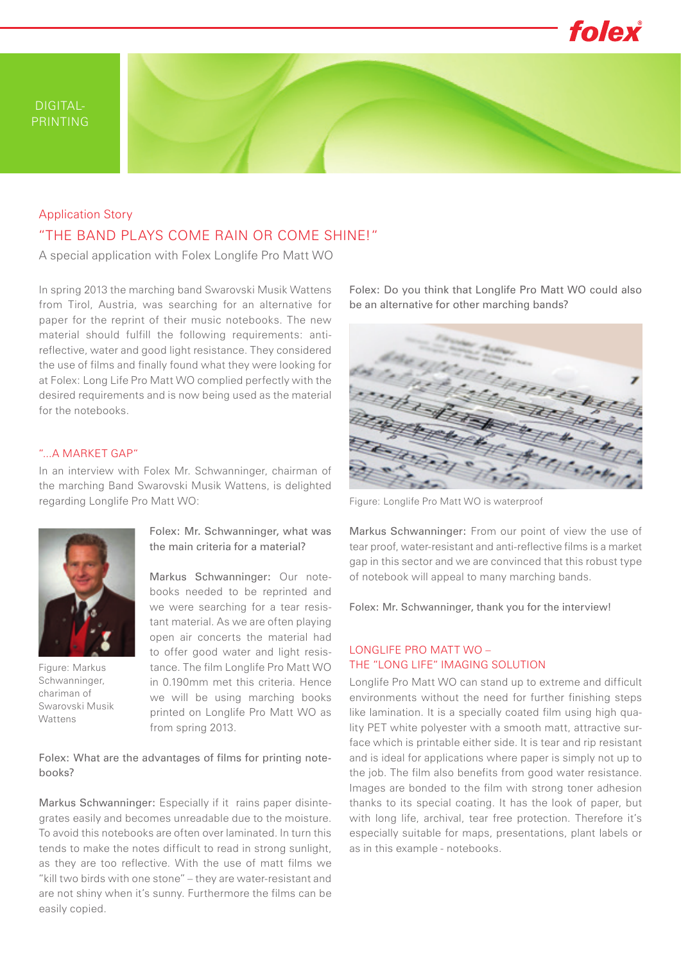

# "THE BAND PLAYS COME RAIN OR COME SHINE!" Application Story

A special application with Folex Longlife Pro Matt WO

In spring 2013 the marching band Swarovski Musik Wattens from Tirol, Austria, was searching for an alternative for paper for the reprint of their music notebooks. The new material should fulfill the following requirements: antireflective, water and good light resistance. They considered the use of films and finally found what they were looking for at Folex: Long Life Pro Matt WO complied perfectly with the desired requirements and is now being used as the material for the notebooks.

#### "...A MARKET GAP"

In an interview with Folex Mr. Schwanninger, chairman of the marching Band Swarovski Musik Wattens, is delighted regarding Longlife Pro Matt WO:



Figure: Markus Schwanninger, chariman of Swarovski Musik Wattens

Folex: Mr. Schwanninger, what was the main criteria for a material?

Markus Schwanninger: Our notebooks needed to be reprinted and we were searching for a tear resistant material. As we are often playing open air concerts the material had to offer good water and light resistance. The film Longlife Pro Matt WO in 0.190mm met this criteria. Hence we will be using marching books printed on Longlife Pro Matt WO as from spring 2013.

### Folex: What are the advantages of films for printing notebooks?

Markus Schwanninger: Especially if it rains paper disintegrates easily and becomes unreadable due to the moisture. To avoid this notebooks are often over laminated. In turn this tends to make the notes difficult to read in strong sunlight, as they are too reflective. With the use of matt films we "kill two birds with one stone" – they are water-resistant and are not shiny when it's sunny. Furthermore the films can be easily copied.

Folex: Do you think that Longlife Pro Matt WO could also be an alternative for other marching bands?



Figure: Longlife Pro Matt WO is waterproof

Markus Schwanninger: From our point of view the use of tear proof, water-resistant and anti-reflective films is a market gap in this sector and we are convinced that this robust type of notebook will appeal to many marching bands.

Folex: Mr. Schwanninger, thank you for the interview!

### LONGLIFE PRO MATT WO – THE "LONG LIFE" IMAGING SOLUTION

Longlife Pro Matt WO can stand up to extreme and difficult environments without the need for further finishing steps like lamination. It is a specially coated film using high quality PET white polyester with a smooth matt, attractive surface which is printable either side. It is tear and rip resistant and is ideal for applications where paper is simply not up to the job. The film also benefits from good water resistance. Images are bonded to the film with strong toner adhesion thanks to its special coating. It has the look of paper, but with long life, archival, tear free protection. Therefore it's especially suitable for maps, presentations, plant labels or as in this example - notebooks.